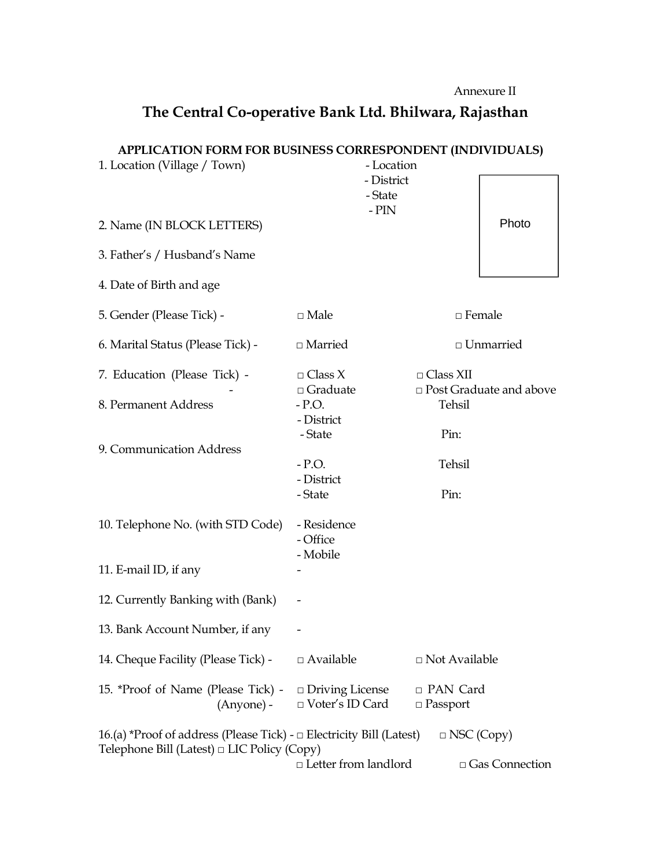Annexure II

## **The Central Co-operative Bank Ltd. Bhilwara, Rajasthan**

## **APPLICATION FORM FOR BUSINESS CORRESPONDENT (INDIVIDUALS)**

| 1. Location (Village / Town)                                                                                                                       | - Location                        |                                               |             |  |
|----------------------------------------------------------------------------------------------------------------------------------------------------|-----------------------------------|-----------------------------------------------|-------------|--|
|                                                                                                                                                    | - District                        |                                               |             |  |
|                                                                                                                                                    | - State<br>- $PIN$                |                                               |             |  |
| 2. Name (IN BLOCK LETTERS)                                                                                                                         |                                   |                                               | Photo       |  |
| 3. Father's / Husband's Name                                                                                                                       |                                   |                                               |             |  |
| 4. Date of Birth and age                                                                                                                           |                                   |                                               |             |  |
| 5. Gender (Please Tick) -                                                                                                                          | $\Box$ Male                       | $\Box$ Female                                 |             |  |
| 6. Marital Status (Please Tick) -                                                                                                                  | $\Box$ Married                    |                                               | □ Unmarried |  |
| 7. Education (Please Tick) -                                                                                                                       | $\Box$ Class X<br>$\Box$ Graduate | $\Box$ Class XII<br>□ Post Graduate and above |             |  |
| 8. Permanent Address                                                                                                                               | $-$ P.O.<br>- District            | Tehsil                                        |             |  |
|                                                                                                                                                    | - State                           | Pin:                                          |             |  |
| 9. Communication Address                                                                                                                           |                                   |                                               |             |  |
|                                                                                                                                                    | $-$ P.O.                          | Tehsil                                        |             |  |
|                                                                                                                                                    | - District<br>- State             | Pin:                                          |             |  |
|                                                                                                                                                    |                                   |                                               |             |  |
| 10. Telephone No. (with STD Code)                                                                                                                  | - Residence<br>- Office           |                                               |             |  |
|                                                                                                                                                    | - Mobile                          |                                               |             |  |
| 11. E-mail ID, if any                                                                                                                              |                                   |                                               |             |  |
| 12. Currently Banking with (Bank)                                                                                                                  |                                   |                                               |             |  |
| 13. Bank Account Number, if any                                                                                                                    |                                   |                                               |             |  |
| 14. Cheque Facility (Please Tick) -                                                                                                                | $\Box$ Available                  | □ Not Available                               |             |  |
| 15. *Proof of Name (Please Tick) -                                                                                                                 | $\Box$ Driving License            | □ PAN Card                                    |             |  |
| (Anyone) -                                                                                                                                         | □ Voter's ID Card                 | $\Box$ Passport                               |             |  |
| 16.(a) *Proof of address (Please Tick) - $\Box$ Electricity Bill (Latest)<br>$\Box$ NSC (Copy)<br>Telephone Bill (Latest) $\Box$ LIC Policy (Copy) |                                   |                                               |             |  |
| $\Box$ Letter from landlord<br>□ Gas Connection                                                                                                    |                                   |                                               |             |  |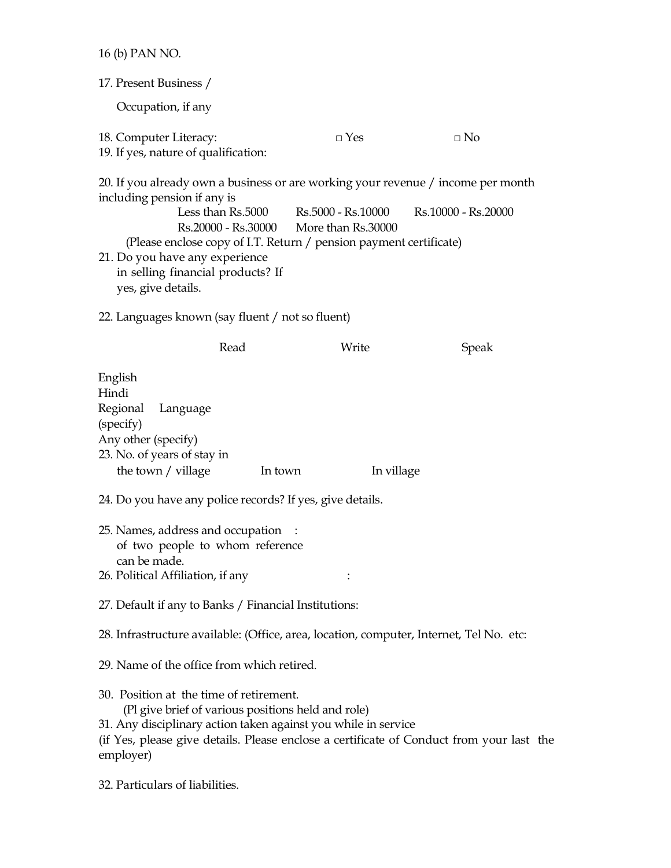16 (b) PAN NO.

| 17. Present Business /                                                                                                                                                                                                                                                             |                                                                                |                     |  |  |
|------------------------------------------------------------------------------------------------------------------------------------------------------------------------------------------------------------------------------------------------------------------------------------|--------------------------------------------------------------------------------|---------------------|--|--|
| Occupation, if any                                                                                                                                                                                                                                                                 |                                                                                |                     |  |  |
| 18. Computer Literacy:<br>19. If yes, nature of qualification:                                                                                                                                                                                                                     | $\Box$ Yes                                                                     | $\square$ No        |  |  |
| 20. If you already own a business or are working your revenue / income per month<br>including pension if any is<br>(Please enclose copy of I.T. Return / pension payment certificate)<br>21. Do you have any experience<br>in selling financial products? If<br>yes, give details. | Less than Rs.5000 Rs.5000 - Rs.10000<br>Rs.20000 - Rs.30000 More than Rs.30000 | Rs.10000 - Rs.20000 |  |  |
| 22. Languages known (say fluent / not so fluent)                                                                                                                                                                                                                                   |                                                                                |                     |  |  |
| Read                                                                                                                                                                                                                                                                               | Write                                                                          | <b>Speak</b>        |  |  |
| English<br>Hindi<br>Regional<br>Language<br>(specify)<br>Any other (specify)<br>23. No. of years of stay in<br>the town $/$ village                                                                                                                                                | In town                                                                        | In village          |  |  |
| 24. Do you have any police records? If yes, give details.                                                                                                                                                                                                                          |                                                                                |                     |  |  |
| 25. Names, address and occupation :<br>of two people to whom reference<br>can be made.<br>26. Political Affiliation, if any                                                                                                                                                        |                                                                                |                     |  |  |
| 27. Default if any to Banks / Financial Institutions:                                                                                                                                                                                                                              |                                                                                |                     |  |  |
| 28. Infrastructure available: (Office, area, location, computer, Internet, Tel No. etc:                                                                                                                                                                                            |                                                                                |                     |  |  |
| 29. Name of the office from which retired.                                                                                                                                                                                                                                         |                                                                                |                     |  |  |
| 30. Position at the time of retirement.<br>(Pl give brief of various positions held and role)<br>31. Any disciplinary action taken against you while in service<br>(if Yes, please give details. Please enclose a certificate of Conduct from your last the<br>employer)           |                                                                                |                     |  |  |

32. Particulars of liabilities.